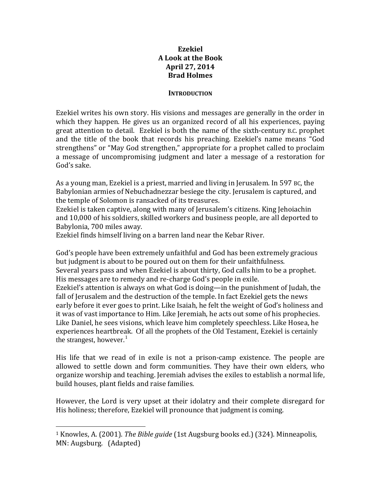### **Ezekiel A Look at the Book April 27, 2014 Brad Holmes**

#### **INTRODUCTION**

Ezekiel writes his own story. His visions and messages are generally in the order in which they happen. He gives us an organized record of all his experiences, paying great attention to detail. Ezekiel is both the name of the sixth-century B.C. prophet and the title of the book that records his preaching. Ezekiel's name means "God strengthens" or "May God strengthen," appropriate for a prophet called to proclaim a message of uncompromising judgment and later a message of a restoration for God's sake.

As a young man, Ezekiel is a priest, married and living in Jerusalem. In 597 BC, the Babylonian armies of Nebuchadnezzar besiege the city. Jerusalem is captured, and the temple of Solomon is ransacked of its treasures.

Ezekiel is taken captive, along with many of Jerusalem's citizens. King Jehoiachin and 10,000 of his soldiers, skilled workers and business people, are all deported to Babylonia, 700 miles away.

Ezekiel finds himself living on a barren land near the Kebar River.

God's people have been extremely unfaithful and God has been extremely gracious but judgment is about to be poured out on them for their unfaithfulness. Several years pass and when Ezekiel is about thirty, God calls him to be a prophet. His messages are to remedy and re‐charge God's people in exile. Ezekiel's attention is always on what God is doing—in the punishment of Judah, the fall of Jerusalem and the destruction of the temple. In fact Ezekiel gets the news early before it ever goes to print. Like Isaiah, he felt the weight of God's holiness and it was of vast importance to Him. Like Jeremiah, he acts out some of his prophecies. Like Daniel, he sees visions, which leave him completely speechless. Like Hosea, he experiences heartbreak. Of all the prophets of the Old Testament, Ezekiel is certainly the strangest, however.<sup>1</sup>

His life that we read of in exile is not a prison-camp existence. The people are allowed to settle down and form communities. They have their own elders, who organize worship and teaching. Jeremiah advises the exiles to establish a normal life, build houses, plant fields and raise families.

However, the Lord is very upset at their idolatry and their complete disregard for His holiness; therefore, Ezekiel will pronounce that judgment is coming.

<sup>1</sup> Knowles, A. (2001). *The Bible guide* (1st Augsburg books ed.) (324). Minneapolis, MN: Augsburg. (Adapted)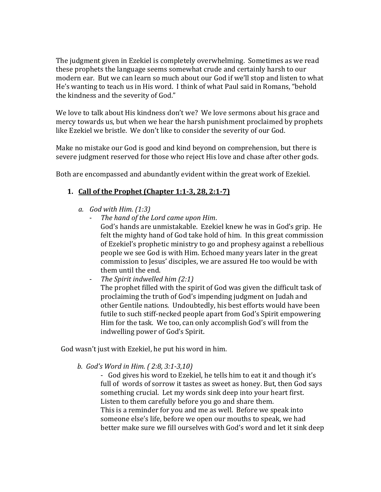The judgment given in Ezekiel is completely overwhelming. Sometimes as we read these prophets the language seems somewhat crude and certainly harsh to our modern ear. But we can learn so much about our God if we'll stop and listen to what He's wanting to teach us in His word. I think of what Paul said in Romans, "behold the kindness and the severity of God."

We love to talk about His kindness don't we? We love sermons about his grace and mercy towards us, but when we hear the harsh punishment proclaimed by prophets like Ezekiel we bristle. We don't like to consider the severity of our God.

Make no mistake our God is good and kind beyond on comprehension, but there is severe judgment reserved for those who reject His love and chase after other gods.

Both are encompassed and abundantly evident within the great work of Ezekiel.

## **1. Call of the Prophet (Chapter 1:13, 28, 2:17)**

- *a. God with Him. (1:3)*
	- *The hand of the Lord came upon Him*. God's hands are unmistakable. Ezekiel knew he was in God's grip. He felt the mighty hand of God take hold of him. In this great commission of Ezekiel's prophetic ministry to go and prophesy against a rebellious people we see God is with Him. Echoed many years later in the great commission to Jesus' disciples, we are assured He too would be with ‐ them until the end.
	- *The Spirit indwelled him (2:1)* ‐

The prophet filled with the spirit of God was given the difficult task of proclaiming the truth of God's impending judgment on Judah and other Gentile nations. Undoubtedly, his best efforts would have been futile to such stiff‐necked people apart from God's Spirit empowering Him for the task. We too, can only accomplish God's will from the indwelling power of God's Spirit.

God wasn't just with Ezekiel, he put his word in him.

#### *b. God's Word in Him. ( 2:8, 3:13,10)*

‐ God gives his word to Ezekiel, he tells him to eat it and though it's full of words of sorrow it tastes as sweet as honey. But, then God says something crucial. Let my words sink deep into your heart first. Listen to them carefully before you go and share them. This is a reminder for you and me as well. Before we speak into someone else's life, before we open our mouths to speak, we had better make sure we fill ourselves with God's word and let it sink deep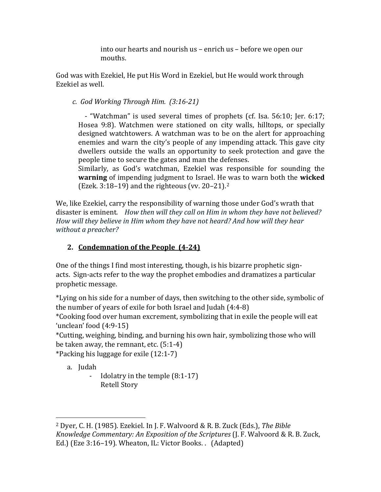into our hearts and nourish us – enrich us – before we open our mouths.

God was with Ezekiel, He put His Word in Ezekiel, but He would work through Ezekiel as well.

 *c. God Working Through Him. (3:1621)*

- "Watchman" is used several times of prophets (cf. Isa. 56:10; Jer. 6:17; Hosea 9:8). Watchmen were stationed on city walls, hilltops, or specially designed watchtowers. A watchman was to be on the alert for approaching enemies and warn the city's people of any impending attack. This gave city dwellers outside the walls an opportunity to seek protection and gave the people time to secure the gates and man the defenses.

Similarly, as God's watchman, Ezekiel was responsible for sounding the **warning** of impending judgment to Israel. He was to warn both the **wicked** (Ezek. 3:18–19) and the righteous (vv. 20–21).2

We, like Ezekiel, carry the responsibility of warning those under God's wrath that disaster is eminent. *How then will they call on Him in whom they have not believed? How will they believe in Him whom they have not heard? And how will they hear without a preacher?*

# **2. Condemnation of the People (424)**

One of the things I find most interesting, though, is his bizarre prophetic sign‐ acts. Sign‐acts refer to the way the prophet embodies and dramatizes a particular prophetic message.

\*Lying on his side for a number of days, then switching to the other side, symbolic of the number of years of exile for both Israel and Judah (4:4‐8)

\*Cooking food over human excrement, symbolizing that in exile the people will eat 'unclean' food (4:9‐15)

\*Cutting, weighing, binding, and burning his own hair, symbolizing those who will be taken away, the remnant, etc. (5:1‐4)

\*Packing his luggage for exile (12:1‐7)

a. Judah

‐ Idolatry in the temple (8:1‐17) Retell Story

<sup>2</sup> Dyer, C. H. (1985). Ezekiel. In J. F. Walvoord & R. B. Zuck (Eds.), *The Bible Knowledge Commentary: An Exposition of the Scriptures* (J. F. Walvoord & R. B. Zuck, Ed.) (Eze 3:16–19). Wheaton, IL: Victor Books. . (Adapted)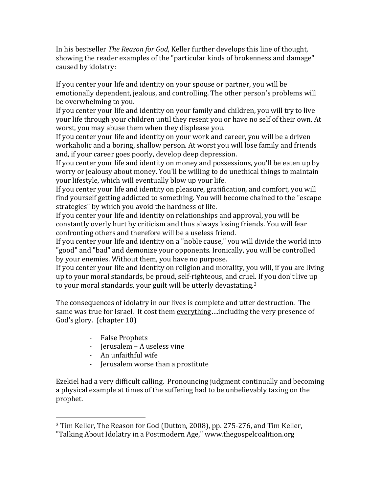In his bestseller *The Reason for God*, Keller further develops this line of thought, showing the reader examples of the "particular kinds of brokenness and damage" caused by idolatry:

If you center your life and identity on your spouse or partner, you will be emotionally dependent, jealous, and controlling. The other person's problems will be overwhelming to you.

If you center your life and identity on your family and children, you will try to live your life through your children until they resent you or have no self of their own. At worst, you may abuse them when they displease you.

If you center your life and identity on your work and career, you will be a driven workaholic and a boring, shallow person. At worst you will lose family and friends and, if your career goes poorly, develop deep depression.

If you center your life and identity on money and possessions, you'll be eaten up by worry or jealousy about money. You'll be willing to do unethical things to maintain your lifestyle, which will eventually blow up your life.

If you center your life and identity on pleasure, gratification, and comfort, you will find yourself getting addicted to something. You will become chained to the "escape strategies" by which you avoid the hardness of life.

If you center your life and identity on relationships and approval, you will be constantly overly hurt by criticism and thus always losing friends. You will fear confronting others and therefore will be a useless friend.

If you center your life and identity on a "noble cause," you will divide the world into "good" and "bad" and demonize your opponents. Ironically, you will be controlled by your enemies. Without them, you have no purpose.

If you center your life and identity on religion and morality, you will, if you are living up to your moral standards, be proud, self‐righteous, and cruel. If you don't live up to your moral standards, your guilt will be utterly devastating.<sup>3</sup>

The consequences of idolatry in our lives is complete and utter destruction. The same was true for Israel. It cost them everything….including the very presence of God's glory. (chapter 10)

‐ False Prophets

- ‐ Jerusalem A useless vine
- ‐ An unfaithful wife
- ‐ Jerusalem worse than a prostitute

Ezekiel had a very difficult calling. Pronouncing judgment continually and becoming a physical example at times of the suffering had to be unbelievably taxing on the prophet.

<sup>3</sup> Tim Keller, The Reason for God (Dutton, 2008), pp. 275‐276, and Tim Keller,

<sup>&</sup>quot;Talking About Idolatry in a Postmodern Age," www.thegospelcoalition.org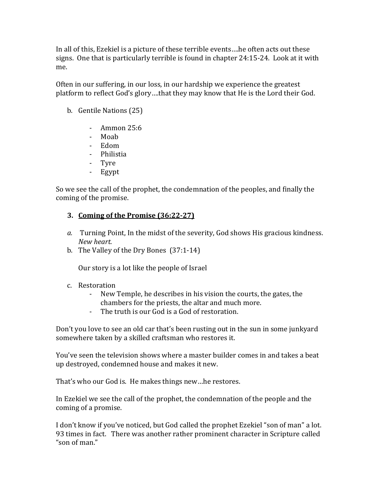In all of this, Ezekiel is a picture of these terrible events….he often acts out these signs. One that is particularly terrible is found in chapter 24:15‐24. Look at it with me.

Often in our suffering, in our loss, in our hardship we experience the greatest platform to reflect God's glory....that they may know that He is the Lord their God.

- b. Gentile Nations (25)
	- ‐ Ammon 25:6
	- ‐ Moab
	- ‐ Edom
	- Philistia
	- ‐ Tyre
	- ‐ Egypt

So we see the call of the prophet, the condemnation of the peoples, and finally the coming of the promise.

### **3. Coming of the Promise (36:2227)**

- *a.* Turning Point, In the midst of the severity, God shows His gracious kindness.  $New$  *heart.*
- b. The Valley of the Dry Bones (37:1‐14)

Our story is a lot like the people of Israel

- c. Restoration
	- New Temple, he describes in his vision the courts, the gates, the chambers for the priests, the altar and much more.
	- ‐ The truth is our God is a God of restoration.

Don't you love to see an old car that's been rusting out in the sun in some junkyard somewhere taken by a skilled craftsman who restores it.

You've seen the television shows where a master builder comes in and takes a beat up destroyed, condemned house and makes it new.

That's who our God is. He makes things new…he restores.

In Ezekiel we see the call of the prophet, the condemnation of the people and the coming of a promise.

I don't know if you've noticed, but God called the prophet Ezekiel "son of man" a lot. 93 times in fact. There was another rather prominent character in Scripture called "son of man."